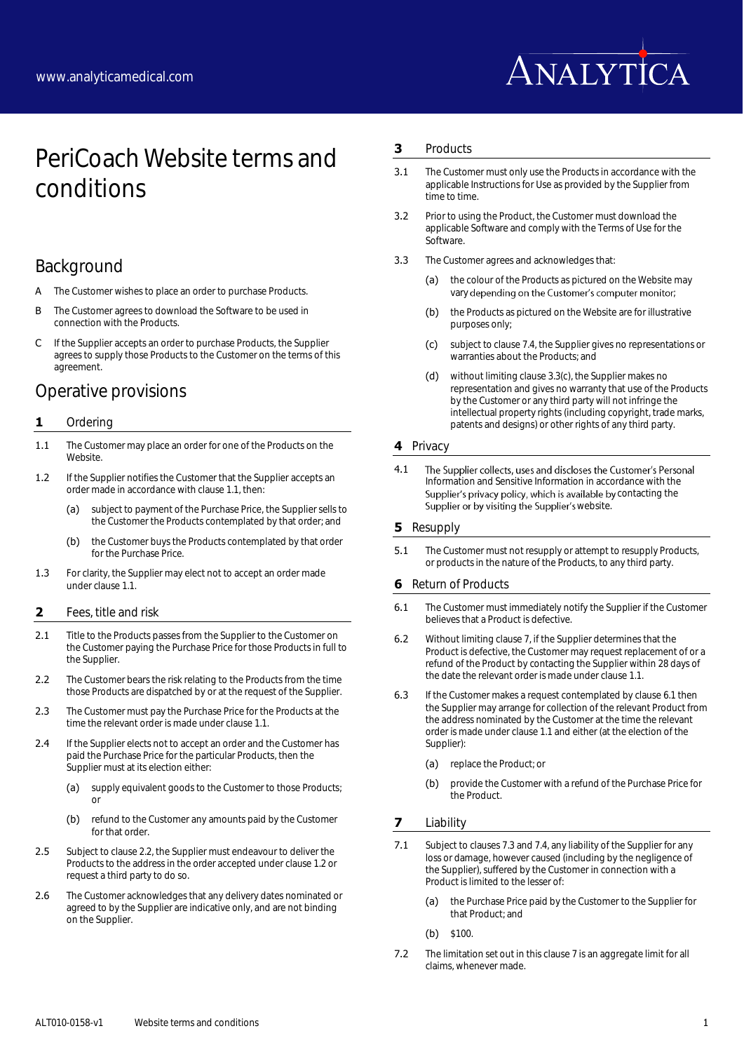

# PeriCoach Website terms and conditions

# Background

- A The Customer wishes to place an order to purchase Products.
- B The Customer agrees to download the Software to be used in connection with the Products.
- C If the Supplier accepts an order to purchase Products, the Supplier agrees to supply those Products to the Customer on the terms of this agreement.

# Operative provisions

### **1** Ordering

- <span id="page-0-0"></span>1.1 The Customer may place an order for one of the Products on the **Website**
- <span id="page-0-2"></span>1.2 If the Supplier notifies the Customer that the Supplier accepts an order made in accordance with claus[e 1.1,](#page-0-0) then:
	- (a) subject to payment of the Purchase Price, the Supplier sells to the Customer the Products contemplated by that order; and
	- (b) the Customer buys the Products contemplated by that order for the Purchase Price.
- 1.3 For clarity, the Supplier may elect not to accept an order made under claus[e 1.1.](#page-0-0)

#### **2** Fees, title and risk

- 2.1 Title to the Products passes from the Supplier to the Customer on the Customer paying the Purchase Price for those Products in full to the Supplier.
- <span id="page-0-1"></span>2.2 The Customer bears the risk relating to the Products from the time those Products are dispatched by or at the request of the Supplier.
- 2.3 The Customer must pay the Purchase Price for the Products at the time the relevant order is made under claus[e 1.1.](#page-0-0)
- 2.4 If the Supplier elects not to accept an order and the Customer has paid the Purchase Price for the particular Products, then the Supplier must at its election either:
	- (a) supply equivalent goods to the Customer to those Products; or
	- (b) refund to the Customer any amounts paid by the Customer for that order
- 2.5 Subject to claus[e 2.2,](#page-0-1) the Supplier must endeavour to deliver the Products to the address in the order accepted under clause [1.2](#page-0-2) or request a third party to do so.
- 2.6 The Customer acknowledges that any delivery dates nominated or agreed to by the Supplier are indicative only, and are not binding on the Supplier.

#### <span id="page-0-8"></span>**3** Products

- 3.1 The Customer must only use the Products in accordance with the applicable Instructions for Use as provided by the Supplier from time to time.
- 3.2 Prior to using the Product, the Customer must download the applicable Software and comply with the Terms of Use for the Software.
- <span id="page-0-6"></span><span id="page-0-3"></span>3.3 The Customer agrees and acknowledges that:
	- (a) the colour of the Products as pictured on the Website may vary depending on the Customer's computer monitor;
	- (b) the Products as pictured on the Website are for illustrative purposes only;
	- (c) subject to claus[e 7.4,](#page-1-0) the Supplier gives no representations or warranties about the Products; and
	- (d) without limiting claus[e 3.3\(c\),](#page-0-3) the Supplier makes no representation and gives no warranty that use of the Products by the Customer or any third party will not infringe the intellectual property rights (including copyright, trade marks, patents and designs) or other rights of any third party.

## **4** Privacy

4.1 The Supplier collects, uses and discloses the Customer's Personal Information and Sensitive Information in accordance with the Supplier's privacy policy, which is available by contacting the Supplier or by visiting the Supplier's website.

#### **5** Resupply

**5.1** The Customer must not resupply or attempt to resupply Products, or products in the nature of the Products, to any third party.

### <span id="page-0-9"></span>**6** Return of Products

- <span id="page-0-5"></span>6.1 The Customer must immediately notify the Supplier if the Customer believes that a Product is defective.
- 6.2 Without limiting claus[e 7,](#page-0-4) if the Supplier determines that the Product is defective, the Customer may request replacement of or a refund of the Product by contacting the Supplier within 28 days of the date the relevant order is made under claus[e 1.1.](#page-0-0)
- 6.3 If the Customer makes a request contemplated by claus[e 6.1](#page-0-5) then the Supplier may arrange for collection of the relevant Product from the address nominated by the Customer at the time the relevant order is made under claus[e 1.1](#page-0-0) and either (at the election of the Supplier):
	- (a) replace the Product; or
	- (b) provide the Customer with a refund of the Purchase Price for the Product.

### <span id="page-0-4"></span>**7** Liability

- <span id="page-0-7"></span>7.1 Subject to clause[s 7.3](#page-1-1) an[d 7.4,](#page-1-0) any liability of the Supplier for any loss or damage, however caused (including by the negligence of the Supplier), suffered by the Customer in connection with a Product is limited to the lesser of:
	- (a) the Purchase Price paid by the Customer to the Supplier for that Product; and
	- (b) \$100.
- 7.2 The limitation set out in this claus[e 7](#page-0-4) is an aggregate limit for all claims, whenever made.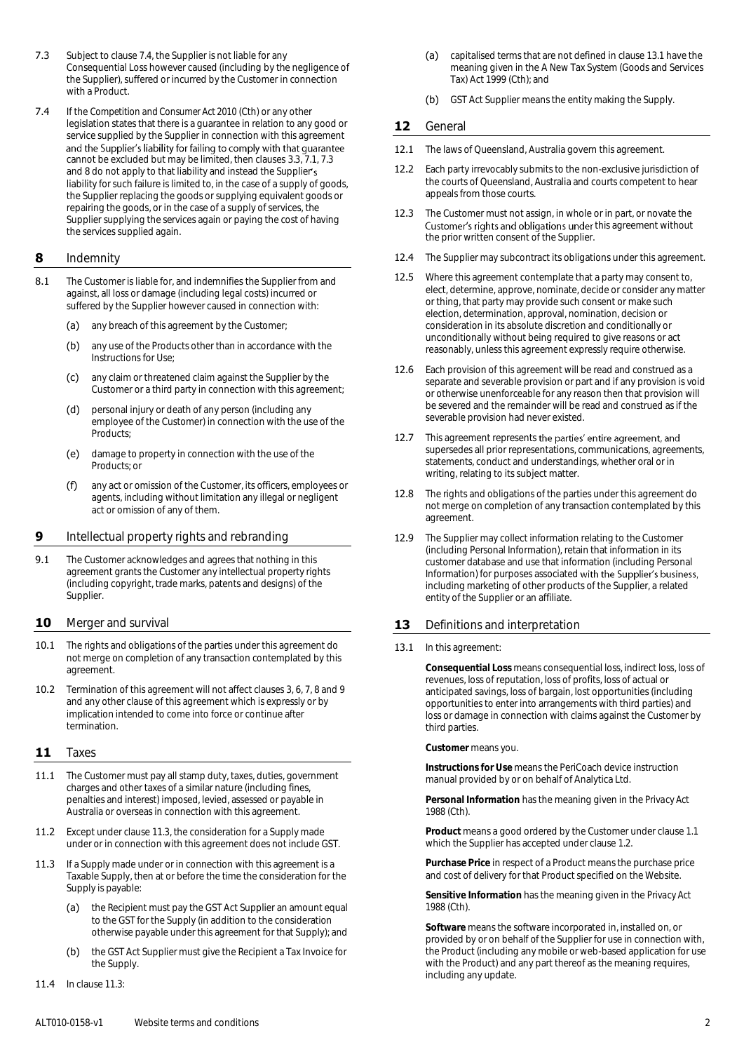- <span id="page-1-1"></span>7.3 Subject to claus[e 7.4,](#page-1-0) the Supplier is not liable for any Consequential Loss however caused (including by the negligence of the Supplier), suffered or incurred by the Customer in connection with a Product.
- <span id="page-1-0"></span>7.4 If the *Competition and Consumer Act 2010* (Cth) or any other legislation states that there is a guarantee in relation to any good or service supplied by the Supplier in connection with this agreement<br>and the Supplier's liability for failing to comply with that guarantee cannot be excluded but may be limited, then clauses [3.3,](#page-0-6) [7.1,](#page-0-7) [7.3](#page-1-1) an[d 8](#page-1-2) do not apply to that liability and instead the Supplier's liability for such failure is limited to, in the case of a supply of goods, the Supplier replacing the goods or supplying equivalent goods or repairing the goods, or in the case of a supply of services, the Supplier supplying the services again or paying the cost of having the services supplied again.

### <span id="page-1-2"></span>**8** Indemnity

- 8.1 The Customer is liable for, and indemnifies the Supplier from and against, all loss or damage (including legal costs) incurred or suffered by the Supplier however caused in connection with:
	- (a) any breach of this agreement by the Customer;
	- (b) any use of the Products other than in accordance with the Instructions for Use;
	- (c) any claim or threatened claim against the Supplier by the Customer or a third party in connection with this agreement;
	- (d) personal injury or death of any person (including any employee of the Customer) in connection with the use of the Products;
	- (e) damage to property in connection with the use of the Products; or
	- (f) any act or omission of the Customer, its officers, employees or agents, including without limitation any illegal or negligent act or omission of any of them.

## <span id="page-1-3"></span>**9** Intellectual property rights and rebranding

9.1 The Customer acknowledges and agrees that nothing in this agreement grants the Customer any intellectual property rights (including copyright, trade marks, patents and designs) of the Supplier.

### **10** Merger and survival

- 10.1 The rights and obligations of the parties under this agreement do not merge on completion of any transaction contemplated by this agreement.
- 10.2 Termination of this agreement will not affect clause[s 3,](#page-0-8) [6,](#page-0-9) [7,](#page-0-4) [8](#page-1-2) an[d 9](#page-1-3) and any other clause of this agreement which is expressly or by implication intended to come into force or continue after termination.

#### **11** Taxes

- 11.1 The Customer must pay all stamp duty, taxes, duties, government charges and other taxes of a similar nature (including fines, penalties and interest) imposed, levied, assessed or payable in Australia or overseas in connection with this agreement.
- 11.2 Except under claus[e 11.3,](#page-1-4) the consideration for a Supply made under or in connection with this agreement does not include GST.
- <span id="page-1-4"></span>11.3 If a Supply made under or in connection with this agreement is a Taxable Supply, then at or before the time the consideration for the Supply is payable:
	- (a) the Recipient must pay the GST Act Supplier an amount equal to the GST for the Supply (in addition to the consideration otherwise payable under this agreement for that Supply); and
	- (b) the GST Act Supplier must give the Recipient a Tax Invoice for the Supply.
- 11.4 In clause [11.3:](#page-1-4)
- (a) capitalised terms that are not defined in claus[e 13.1](#page-1-5) have the meaning given in the A New Tax System (Goods and Services Tax) Act 1999 (Cth); and
- (b) GST Act Supplier means the entity making the Supply.

# **12** General

- 12.1 The laws of Queensland, Australia govern this agreement.
- 12.2 Each party irrevocably submits to the non-exclusive jurisdiction of the courts of Queensland, Australia and courts competent to hear appeals from those courts.
- 12.3 The Customer must not assign, in whole or in part, or novate the Customer's rights and obligations under this agreement without the prior written consent of the Supplier.
- 12.4 The Supplier may subcontract its obligations under this agreement.
- 12.5 Where this agreement contemplate that a party may consent to, elect, determine, approve, nominate, decide or consider any matter or thing, that party may provide such consent or make such election, determination, approval, nomination, decision or consideration in its absolute discretion and conditionally or unconditionally without being required to give reasons or act reasonably, unless this agreement expressly require otherwise.
- 12.6 Each provision of this agreement will be read and construed as a separate and severable provision or part and if any provision is void or otherwise unenforceable for any reason then that provision will be severed and the remainder will be read and construed as if the severable provision had never existed.
- 12.7 This agreement represents the parties' entire agreement, and supersedes all prior representations, communications, agreements, statements, conduct and understandings, whether oral or in writing, relating to its subject matter.
- 12.8 The rights and obligations of the parties under this agreement do not merge on completion of any transaction contemplated by this agreement.
- 12.9 The Supplier may collect information relating to the Customer (including Personal Information), retain that information in its customer database and use that information (including Personal Information) for purposes associated with the Supplier's business, including marketing of other products of the Supplier, a related entity of the Supplier or an affiliate.

### 13 Definitions and interpretation

#### <span id="page-1-5"></span>13.1 In this agreement:

**Consequential Loss** means consequential loss, indirect loss, loss of revenues, loss of reputation, loss of profits, loss of actual or anticipated savings, loss of bargain, lost opportunities (including opportunities to enter into arrangements with third parties) and loss or damage in connection with claims against the Customer by third parties.

**Customer** means you.

**Instructions for Use** means the PeriCoach device instruction manual provided by or on behalf of Analytica Ltd.

**Personal Information** has the meaning given in the *Privacy Act 1988* (Cth).

**Product** means a good ordered by the Customer under clause [1.1](#page-0-0) which the Supplier has accepted under claus[e 1.2.](#page-0-2)

**Purchase Price** in respect of a Product means the purchase price and cost of delivery for that Product specified on the Website.

**Sensitive Information** has the meaning given in the *Privacy Act 1988* (Cth).

**Software** means the software incorporated in, installed on, or provided by or on behalf of the Supplier for use in connection with, the Product (including any mobile or web-based application for use with the Product) and any part thereof as the meaning requires, including any update.